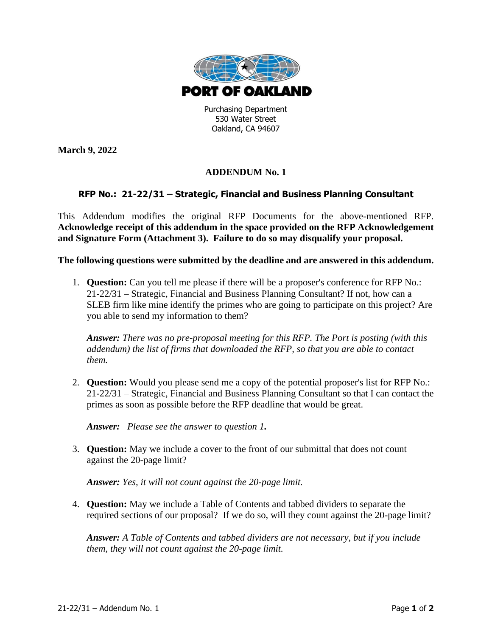

530 Water Street Oakland, CA 94607

**March 9, 2022**

## **ADDENDUM No. 1**

## **RFP No.: 21-22/31 – Strategic, Financial and Business Planning Consultant**

This Addendum modifies the original RFP Documents for the above-mentioned RFP. **Acknowledge receipt of this addendum in the space provided on the RFP Acknowledgement and Signature Form (Attachment 3). Failure to do so may disqualify your proposal.**

**The following questions were submitted by the deadline and are answered in this addendum.**

1. **Question:** Can you tell me please if there will be a proposer's conference for RFP No.: 21-22/31 – Strategic, Financial and Business Planning Consultant? If not, how can a SLEB firm like mine identify the primes who are going to participate on this project? Are you able to send my information to them?

*Answer: There was no pre-proposal meeting for this RFP. The Port is posting (with this addendum) the list of firms that downloaded the RFP, so that you are able to contact them.*

2. **Question:** Would you please send me a copy of the potential proposer's list for RFP No.: 21-22/31 – Strategic, Financial and Business Planning Consultant so that I can contact the primes as soon as possible before the RFP deadline that would be great.

*Answer: Please see the answer to question 1.*

3. **Question:** May we include a cover to the front of our submittal that does not count against the 20-page limit?

*Answer: Yes, it will not count against the 20-page limit.*

4. **Question:** May we include a Table of Contents and tabbed dividers to separate the required sections of our proposal? If we do so, will they count against the 20-page limit?

*Answer: A Table of Contents and tabbed dividers are not necessary, but if you include them, they will not count against the 20-page limit.*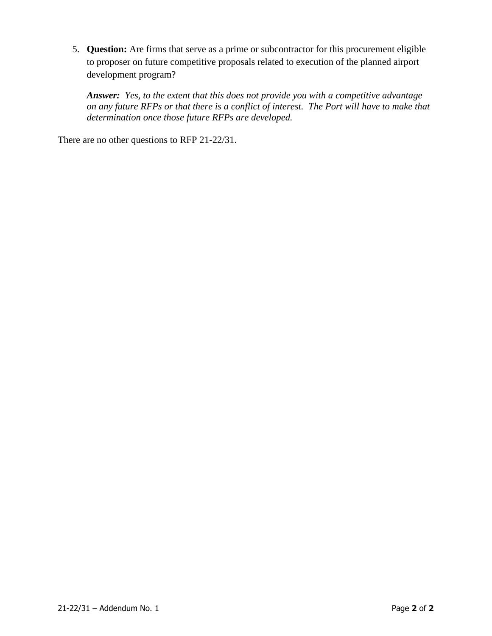5. **Question:** Are firms that serve as a prime or subcontractor for this procurement eligible to proposer on future competitive proposals related to execution of the planned airport development program?

*Answer: Yes, to the extent that this does not provide you with a competitive advantage on any future RFPs or that there is a conflict of interest. The Port will have to make that determination once those future RFPs are developed.*

There are no other questions to RFP 21-22/31.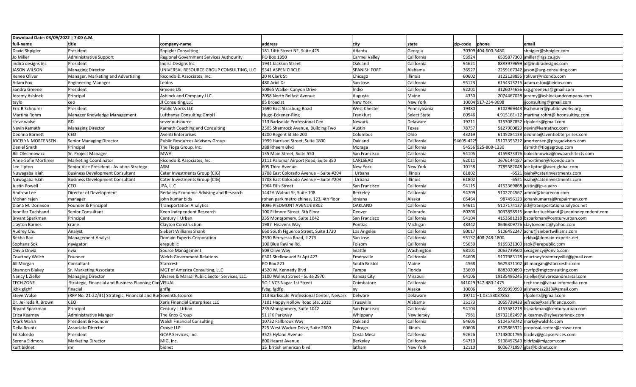| Download Date: 03/09/2022   7:00 A.M. |                                                                |                                               |                                           |                      |                     |            |                      |                                                  |
|---------------------------------------|----------------------------------------------------------------|-----------------------------------------------|-------------------------------------------|----------------------|---------------------|------------|----------------------|--------------------------------------------------|
| full-name                             | title                                                          | company-name                                  | address                                   | city                 | state               | zip-code   | phone                | email                                            |
| David Shpigler                        | President                                                      | <b>Shpigler Consulting</b>                    | 181 14th Street NE, Suite 425             | Atlanta              | Georgia             |            | 30309 404-600-5480   | shpigler@shpigler.com                            |
| Jo Miller                             | <b>Administrative Support</b>                                  | Regional Government Services Authourity       | PO Box 1350                               | <b>Carmel Valley</b> | California          | 93924      |                      | 6505877300 jmiller@rgs.ca.gov                    |
| indira designs inc                    | President                                                      | Indira Designs Inc                            | 1941 Jackson Street                       | Oakland              | California          | 94621      |                      | 8883979699 id@indiradesigns.com                  |
| <b>JASON WILSON</b>                   | <b>Managing Director</b>                                       | UNIVERSAL RESOURCE GROUP CONSULTING, LLC      | 9341 ASPEN CIRCLE                         | <b>SPANISH FORT</b>  | Alabama             | 36527      |                      | 2259167342 jason@urg-consulting.com              |
| Renee Oliver                          | Manager, Marketing and Advertising                             | Ricondo & Associates, Inc.                    | 20 N Clark St                             | Chicago              | Illinois            | 60602      |                      | 3122128855 roliver@ricondo.com                   |
| Adam Fox                              | <b>Engineering Manager</b>                                     | Leidos                                        | 480 Ariel Dr                              | San Jose             | California          | 95123      |                      | 6154313215 adam.e.fox@leidos.com                 |
| Sandra Greene                         | President                                                      | Greene US                                     | 50865 Walker Canyon Drive                 | Indio                | California          | 92201      |                      | 3126074656 ssg.greeneus@gmail.com                |
| Jeremy Ashlock                        | Principal                                                      | <b>Ashlock and Company LLC</b>                | 2058 North Belfast Avenue                 | Augusta              | Maine               | 4330       |                      | 2074467028 jeremy@ashlockandcompany.com          |
| taylo                                 | ceo                                                            | JJ Consulting, LLC                            | 85 Broad st                               | <b>New York</b>      | New York            |            | 10004 917-234-9098   | jconsulting@gmail.com                            |
| Eric B Schnurer                       | President                                                      | Public Works LLC                              | 1690 East Strasburg Road                  | <b>West Chester</b>  | Pennsylvania        | 19380      |                      | 6102969443 Eschnurer@public-works.org            |
| Martina Rohm                          | Manager Knowledge Management                                   | Lufthansa Consulting GmbH                     | Hugo-Eckener-Ring                         | Frankfurt            | <b>Select State</b> | 60546      |                      | 4.91516E+12 martina.rohm@lhconsulting.com        |
| steve walse                           | l BD.                                                          | sevenoutsource                                | 113 Barksdale Professional Cen            | Newark               | Delaware            | 19711      |                      | 3153087852 rfpalerts@gmail.com                   |
| Nevin Kamath                          | <b>Managing Director</b>                                       | Kamath Coaching and Consulting                | 2305 Shamrock Avenue, Building Two        | Austin               | Texas               | 78757      |                      | 5127900829 nevin@kamathcc.com                    |
| Deonna Barnett                        | CEO                                                            | <b>Aventi Enterprises</b>                     | 4200 Regent St Ste 200                    | Columbus             | Ohio                | 43219      |                      | 6145284138 deonna@aventiebterprises.com          |
| JOCELYN MORTENSEN                     | Senior Managing Director                                       | Public Resources Advisory Group               | 1999 Harrison Street, Suite 1800          | Oakland              | California          | 94605-422! |                      | 15103393212   jmortensen@pragadvisors.com        |
| Daniel Smith                          | Principal                                                      | The Tioga Group, Inc.                         | 288 Rheem Blvd                            | Moraga               | California          |            | 94556 925-808-1330   | dsmith@tiogagroup.com                            |
| <b>Bill Olechnowicz</b>               | Sr. Project Manager                                            | <b>MWA</b>                                    | 135 Main Street, Suite 550                | San Francisco        | California          | 94105      |                      | 4159873376 bolechnowicz@mwaarchitects.com        |
| Anne-Sofie Mortimer                   | Marketing Coordinator                                          | Ricondo & Associates, Inc.                    | 2111 Palomar Airport Road, Suite 350      | CARLSBAD             | California          | 92011      |                      | 2676144187 amortimer@ricondo.com                 |
| Lee Lipton                            | Senior Vice President - Aviation Strategy                      | ASM                                           | 605 Third Avenue                          | <b>New York</b>      | New York            | 10158      |                      | 7785582048 lee.lipton@asm-global.com             |
| Nuwagaba Isiah                        | <b>Business Development Consultant</b>                         | Cater Investments Group (CIG)                 | 1708 East Colorado Avenue - Suite #204    | Urbana               | Illinois            | 61802      |                      | -6521 isiah@caterinvestments.com                 |
| Nuwagaba Isiah                        | <b>Business Development Consultant</b>                         | Cater Investments Group (CIG)                 | 1708 East Colorado Avenue - Suite #204    | Urbana               | Illinois            | 61802      |                      | -6521 isiah@caterinvestments.com                 |
| Justin Powell                         | CEO                                                            | JPA, LLC                                      | 1964 Ellis Street                         | San Francisco        | California          | 94115      |                      | 4153369868 justin@jp-a.aero                      |
| Andrew Lee                            | Director of Development                                        | Berkeley Economic Advising and Research       | 1442A Walnut St, Suite 108                | Berkeley             | California          | 94709      |                      | 5102204567 admin@bearecon.com                    |
| Mohan rajen                           | manager                                                        | iohn kumar bids                               | rohan park metro chinea, 123, 4th floor   | idniana              | Alaska              | 65464      |                      | 987456123 johankumarraj@repairman.com            |
| Diana M. Dorinson                     | Founder & Principal                                            | <b>Transportation Analytics</b>               | 4096 PIEDMONT AVENUE #802                 | <b>OAKLAND</b>       | California          | 94611      |                      | 5107174137 dd@transportationanalytics.net        |
| Jennifer Tuchband                     | Senior Consultant                                              | Keen Independent Research                     | 100 Fillmore Street, 5th Floor            | Denver               | Colorado            | 80206      |                      | 3033858515 jennifer.tuchband@keenindependent.com |
| Bryant Sparkman                       | Principal                                                      | Century   Urban                               | 235 Montgomery, Suite 1042                | San Francisco        | California          | 94104      |                      | 4153581218 bsparkman@centuryurban.com            |
| clayton Barnes                        | crane                                                          | <b>Clayton Construction</b>                   | 1987 Heavens Way                          | Pontiac              | Michigan            | 48342      |                      | 8646309726 claytonconst@yahoo.com                |
| Audrey Chu                            | Analyst                                                        | Siebert Williams Shank                        | 660 South Figueroa Street, Suite 1720     | Los Angeles          | California          | 90017      |                      | 5106452247 achu@siebertwilliams.com              |
| Rekha Rao                             | Management Analyst                                             | Domain Experts Corporation                    | 2530 Berryessa Road, #273                 | San Jose             | California          |            | 95132 408-748-1800   | rekha@domain-experts.net                         |
| Sophana Sok                           | navigator                                                      | erepublic                                     | 100 Blue Ravine Rd.                       | Folsom               | California          | 95630      |                      | 9169321300 ssok@erepublic.com                    |
| Onvia Onvia                           | nvia                                                           | Source Management                             | 509 Olive Way                             | Seattle              | Washington          | 98101      |                      | 2063739500 svcagency@onvia.com                   |
| Courtney Welch                        | Founder                                                        | <b>Welch Government Relations</b>             | 6301 Shellmound St Apt 423                | Emeryville           | California          | 94608      |                      | 5107983128 courtneyforemeryville@gmail.com       |
| Jill Morgan                           | Consultant                                                     | Starcrest                                     | PO Box 221                                | South Bristol        | Maine               | 4568       |                      | 5625371102 jill.morgan@starcrestllc.com          |
| <b>Shannon Blakey</b>                 | Sr. Marketing Associate                                        | MGT of America Consulting, LLC                | 4320 W. Kennedy Blvd                      | Tampa                | Florida             | 33609      |                      | 8883020899 rcvrfp@mgtconsulting.com              |
| Nancy L Zielke                        | <b>Managing Director</b>                                       | Alvarez & Marsal Public Sector Services, LLC. | 1100 Walnut Street - Suite 2970           | Kansas City          | Missouri            | 64106      |                      | 19135486245 nzielke@alvarezandmarsal.com         |
| <b>TECH ZONE</b>                      | Strategic, Financial and Business Planning Con VISUAL          |                                               | 5C-1 VCS Nagar 1st Street                 | Coimbatore           | California          |            | 641029 347-480-1475  | techzone@visualinfomedia.com                     |
| jkhk gfghf                            | finacial                                                       | ghffg                                         | fvbg, fgdfg                               | nv                   | Alaska              | 10006      |                      | 9999999999 alishaross2013@gmail.com              |
| <b>Steve Walse</b>                    | (RFP No. 21-22/31) Strategic, Financial and Bus SevenOutsource |                                               | 113 Barksdale Professional Center, Newark | Delware              | Delaware            |            | 19711 + 103153087852 | rfpalerts@gmail.com                              |
| Dr. JeFreda R. Brown                  | CEO                                                            | Xaris Financial Enterprises LLC               | 7101 Happy Hollow Road Ste. 201D          | Trussville           | Alabama             | 35173      |                      | 2055738433 jefreda@xarisfinance.com              |
| Bryant Sparkman                       | Principal                                                      | Century   Urban                               | 235 Montgomery, Suite 1042                | San Francisco        | California          | 94104      |                      | 4153581218 bsparkman@centuryurban.com            |
| Erica Kearney                         | Administrative Manger                                          | The Knox Group                                | 51 JFK Parkway                            | Whippany             | New Jersey          | 7981       |                      | 19732182497 e.kearney@sylvesterknox.com          |
| Mark Walsh                            | President & Founder                                            | Walsh Financial Consulting                    | 10732 Fallbrook Way                       | Oakland              | California          | 94605      |                      | 5104578742 mark@walshfc.com                      |
| Delia Bruntz                          | <b>Associate Director</b>                                      | Crowe LLP                                     | 225 West Wacker Drive, Suite 2600         | Chicago              | Illinois            | 60606      |                      | 6305865321 proposal.center@crowe.com             |
| Ed Salcedo                            | President                                                      | GCAP Services, Inc.                           | 3525 Hyland Avenue                        | Costa Mesa           | California          | 92626      |                      | 17148001795 bizdev@gcapservices.com              |
| Serena Sidmore                        | <b>Marketing Director</b>                                      | MIG, Inc.                                     | 800 Hearst Avenue                         | Berkeley             | California          | 94710      |                      | 5108457549 bidrfp@migcom.com                     |
| kurt bidnet                           | lmr                                                            | bidnet                                        | 15 british american blvd                  | latham               | New York            | 12110      |                      | 8006771997 gbs@bidnet.com                        |